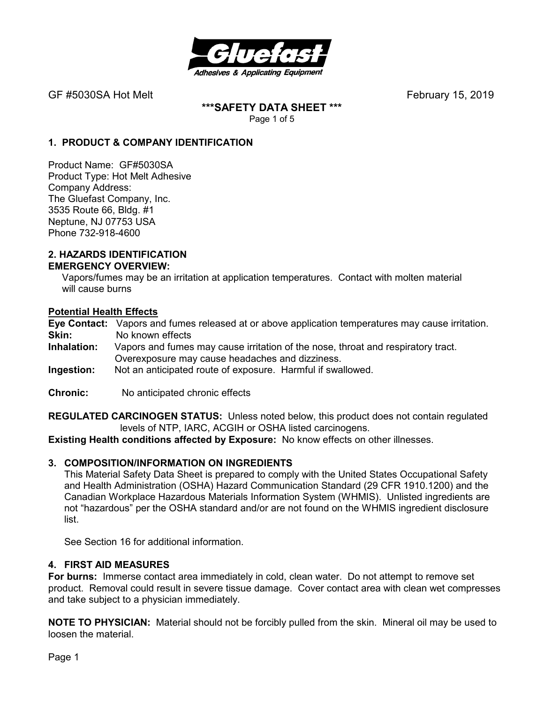

GF #5030SA Hot Melt **GF #5030SA Hot Melt February 15, 2019** 

**\*\*\*SAFETY DATA SHEET \*\*\***  Page 1 of 5

## **1. PRODUCT & COMPANY IDENTIFICATION**

Product Name: GF#5030SA Product Type: Hot Melt Adhesive Company Address: The Gluefast Company, Inc. 3535 Route 66, Bldg. #1 Neptune, NJ 07753 USA Phone 732-918-4600

#### **2. HAZARDS IDENTIFICATION EMERGENCY OVERVIEW:**

 Vapors/fumes may be an irritation at application temperatures. Contact with molten material will cause burns

### **Potential Health Effects**

**Eye Contact:** Vapors and fumes released at or above application temperatures may cause irritation. **Skin:** No known effects<br>**Inhalation:** Vapors and fumes

- Vapors and fumes may cause irritation of the nose, throat and respiratory tract. Overexposure may cause headaches and dizziness.
- **Ingestion:** Not an anticipated route of exposure. Harmful if swallowed.
- **Chronic:** No anticipated chronic effects

**REGULATED CARCINOGEN STATUS:** Unless noted below, this product does not contain regulated levels of NTP, IARC, ACGIH or OSHA listed carcinogens.

**Existing Health conditions affected by Exposure:** No know effects on other illnesses.

### **3. COMPOSITION/INFORMATION ON INGREDIENTS**

This Material Safety Data Sheet is prepared to comply with the United States Occupational Safety and Health Administration (OSHA) Hazard Communication Standard (29 CFR 1910.1200) and the Canadian Workplace Hazardous Materials Information System (WHMIS). Unlisted ingredients are not "hazardous" per the OSHA standard and/or are not found on the WHMIS ingredient disclosure list.

See Section 16 for additional information.

#### **4. FIRST AID MEASURES**

**For burns:** Immerse contact area immediately in cold, clean water. Do not attempt to remove set product. Removal could result in severe tissue damage. Cover contact area with clean wet compresses and take subject to a physician immediately.

**NOTE TO PHYSICIAN:** Material should not be forcibly pulled from the skin. Mineral oil may be used to loosen the material.

Page 1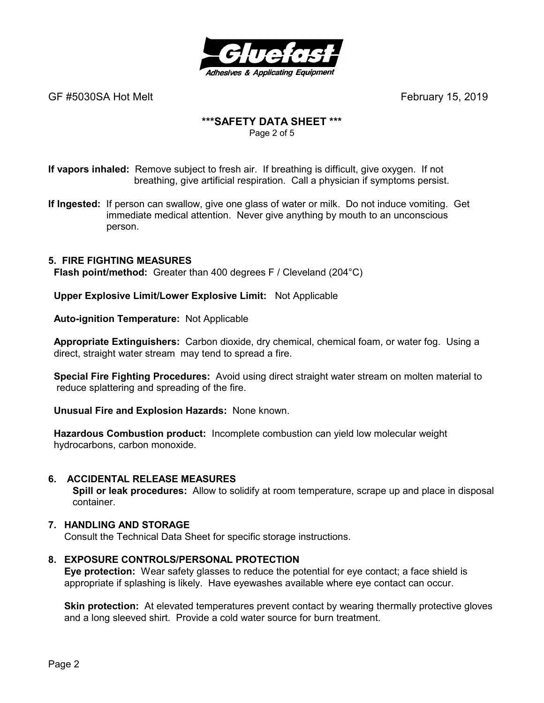

GF #5030SA Hot MeltFebruary 15, 2019

# **\*\*\*SAFETY DATA SHEET \*\*\***

Page 2 of 5

**If vapors inhaled:** Remove subject to fresh air. If breathing is difficult, give oxygen. If not breathing, give artificial respiration. Call a physician if symptoms persist.

**If Ingested:** If person can swallow, give one glass of water or milk. Do not induce vomiting. Get immediate medical attention. Never give anything by mouth to an unconscious person.

# **5. FIRE FIGHTING MEASURES**

 **Flash point/method:** Greater than 400 degrees F / Cleveland (204°C)

 **Upper Explosive Limit/Lower Explosive Limit:** Not Applicable

 **Auto-ignition Temperature:** Not Applicable

 **Appropriate Extinguishers:** Carbon dioxide, dry chemical, chemical foam, or water fog. Using a direct, straight water stream may tend to spread a fire.

 **Special Fire Fighting Procedures:** Avoid using direct straight water stream on molten material to reduce splattering and spreading of the fire.

 **Unusual Fire and Explosion Hazards:** None known.

 **Hazardous Combustion product:** Incomplete combustion can yield low molecular weight hydrocarbons, carbon monoxide.

### **6. ACCIDENTAL RELEASE MEASURES**

 **Spill or leak procedures:** Allow to solidify at room temperature, scrape up and place in disposal container.

### **7. HANDLING AND STORAGE**

Consult the Technical Data Sheet for specific storage instructions.

### **8. EXPOSURE CONTROLS/PERSONAL PROTECTION**

**Eye protection:** Wear safety glasses to reduce the potential for eye contact; a face shield is appropriate if splashing is likely. Have eyewashes available where eye contact can occur.

**Skin protection:** At elevated temperatures prevent contact by wearing thermally protective gloves and a long sleeved shirt. Provide a cold water source for burn treatment.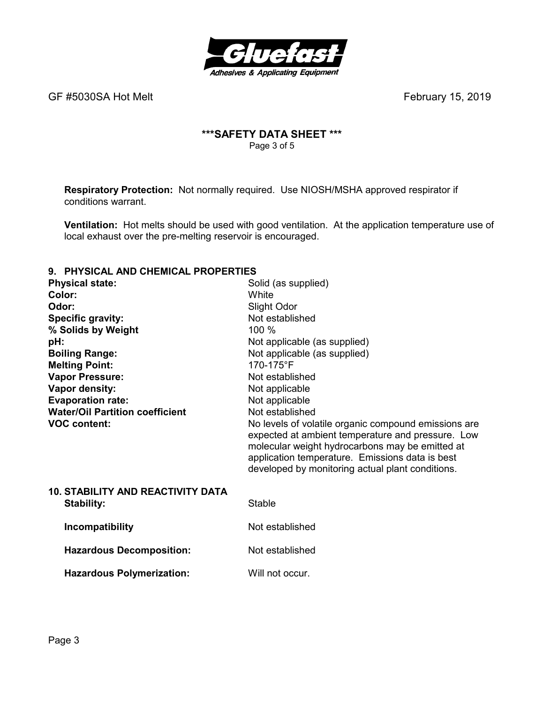

GF #5030SA Hot Melt **GF #5030SA Hot Melt February 15, 2019** 

# **\*\*\*SAFETY DATA SHEET \*\*\***  Page 3 of 5

**Respiratory Protection:** Not normally required.Use NIOSH/MSHA approved respirator if conditions warrant.

**Ventilation:** Hot melts should be used with good ventilation. At the application temperature use of local exhaust over the pre-melting reservoir is encouraged.

# **9. PHYSICAL AND CHEMICAL PROPERTIES**

| <u>THI UIVAL AND VIILIMIVAL I INDI LINTILU</u> |                                                                                                                                                                                                                                                                     |
|------------------------------------------------|---------------------------------------------------------------------------------------------------------------------------------------------------------------------------------------------------------------------------------------------------------------------|
| <b>Physical state:</b>                         | Solid (as supplied)                                                                                                                                                                                                                                                 |
| Color:                                         | White                                                                                                                                                                                                                                                               |
| Odor:                                          | Slight Odor                                                                                                                                                                                                                                                         |
| <b>Specific gravity:</b>                       | Not established                                                                                                                                                                                                                                                     |
| % Solids by Weight                             | 100 %                                                                                                                                                                                                                                                               |
| pH:                                            | Not applicable (as supplied)                                                                                                                                                                                                                                        |
| <b>Boiling Range:</b>                          | Not applicable (as supplied)                                                                                                                                                                                                                                        |
| <b>Melting Point:</b>                          | 170-175°F                                                                                                                                                                                                                                                           |
| <b>Vapor Pressure:</b>                         | Not established                                                                                                                                                                                                                                                     |
| Vapor density:                                 | Not applicable                                                                                                                                                                                                                                                      |
| <b>Evaporation rate:</b>                       | Not applicable                                                                                                                                                                                                                                                      |
| <b>Water/Oil Partition coefficient</b>         | Not established                                                                                                                                                                                                                                                     |
| <b>VOC content:</b>                            | No levels of volatile organic compound emissions are<br>expected at ambient temperature and pressure. Low<br>molecular weight hydrocarbons may be emitted at<br>application temperature. Emissions data is best<br>developed by monitoring actual plant conditions. |
| <b>10. STABILITY AND REACTIVITY DATA</b>       |                                                                                                                                                                                                                                                                     |
| <b>Stability:</b>                              | Stable                                                                                                                                                                                                                                                              |
| Incompatibility                                | Not established                                                                                                                                                                                                                                                     |
| <b>Hazardous Decomposition:</b>                | Not established                                                                                                                                                                                                                                                     |
| <b>Hazardous Polymerization:</b>               | Will not occur.                                                                                                                                                                                                                                                     |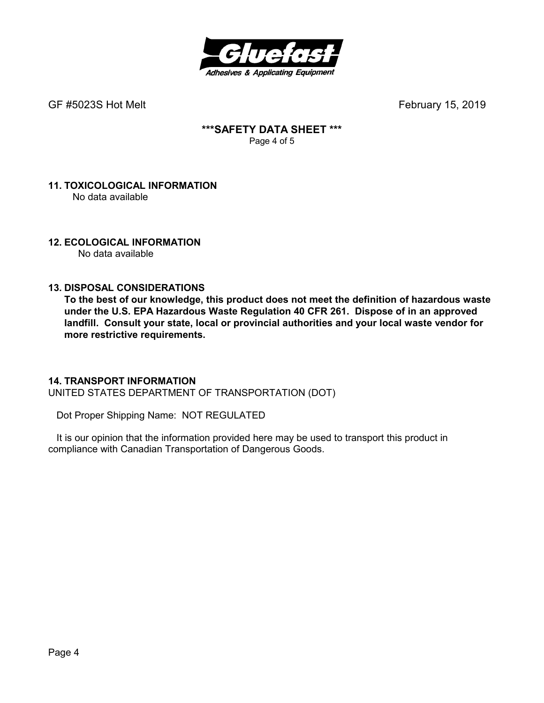

GF #5023S Hot MeltFebruary 15, 2019

## **\*\*\*SAFETY DATA SHEET \*\*\***  Page 4 of 5

## **11. TOXICOLOGICAL INFORMATION**  No data available

# **12. ECOLOGICAL INFORMATION**

No data available

# **13. DISPOSAL CONSIDERATIONS**

**To the best of our knowledge, this product does not meet the definition of hazardous waste under the U.S. EPA Hazardous Waste Regulation 40 CFR 261. Dispose of in an approved landfill. Consult your state, local or provincial authorities and your local waste vendor for more restrictive requirements.** 

## **14. TRANSPORT INFORMATION**

UNITED STATES DEPARTMENT OF TRANSPORTATION (DOT)

Dot Proper Shipping Name: NOT REGULATED

 It is our opinion that the information provided here may be used to transport this product in compliance with Canadian Transportation of Dangerous Goods.